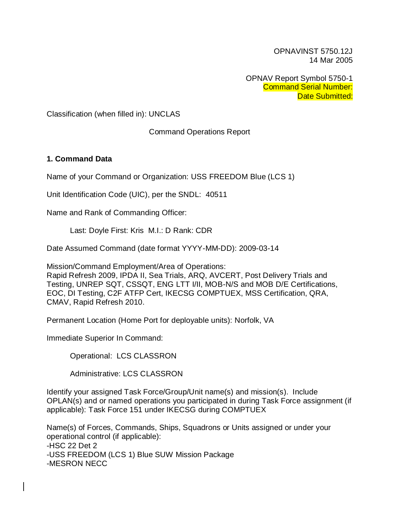OPNAVINST 5750.12J 14 Mar 2005

OPNAV Report Symbol 5750-1 Command Serial Number: Date Submitted:

Classification (when filled in): UNCLAS

Command Operations Report

#### **1. Command Data**

Name of your Command or Organization: USS FREEDOM Blue (LCS 1)

Unit Identification Code (UIC), per the SNDL: 40511

Name and Rank of Commanding Officer:

Last: Doyle First: Kris M.I.: D Rank: CDR

Date Assumed Command (date format YYYY-MM-DD): 2009-03-14

Mission/Command Employment/Area of Operations:

Rapid Refresh 2009, IPDA II, Sea Trials, ARQ, AVCERT, Post Delivery Trials and Testing, UNREP SQT, CSSQT, ENG LTT I/II, MOB-N/S and MOB D/E Certifications, EOC, DI Testing, C2F ATFP Cert, IKECSG COMPTUEX, MSS Certification, QRA, CMAV, Rapid Refresh 2010.

Permanent Location (Home Port for deployable units): Norfolk, VA

Immediate Superior In Command:

Operational: LCS CLASSRON

Administrative: LCS CLASSRON

Identify your assigned Task Force/Group/Unit name(s) and mission(s). Include OPLAN(s) and or named operations you participated in during Task Force assignment (if applicable): Task Force 151 under IKECSG during COMPTUEX

Name(s) of Forces, Commands, Ships, Squadrons or Units assigned or under your operational control (if applicable): -HSC 22 Det 2 -USS FREEDOM (LCS 1) Blue SUW Mission Package -MESRON NECC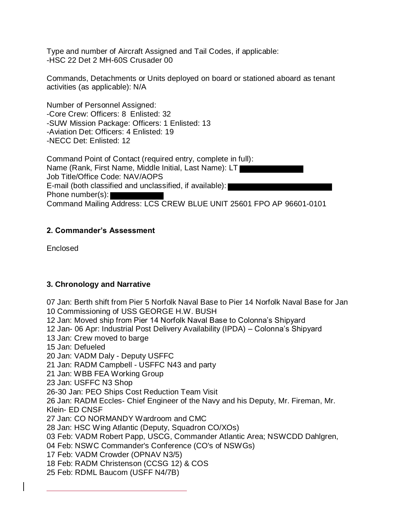Type and number of Aircraft Assigned and Tail Codes, if applicable: -HSC 22 Det 2 MH-60S Crusader 00

Commands, Detachments or Units deployed on board or stationed aboard as tenant activities (as applicable): N/A

Number of Personnel Assigned: -Core Crew: Officers: 8 Enlisted: 32 -SUW Mission Package: Officers: 1 Enlisted: 13 -Aviation Det: Officers: 4 Enlisted: 19 -NECC Det: Enlisted: 12

Command Point of Contact (required entry, complete in full): Name (Rank, First Name, Middle Initial, Last Name): LT Job Title/Office Code: NAV/AOPS E-mail (both classified and unclassified, if available): Phone number(s): Command Mailing Address: LCS CREW BLUE UNIT 25601 FPO AP 96601-0101

### **2. Commander's Assessment**

Enclosed

#### **3. Chronology and Narrative**

07 Jan: Berth shift from Pier 5 Norfolk Naval Base to Pier 14 Norfolk Naval Base for Jan 10 Commissioning of USS GEORGE H.W. BUSH

12 Jan: Moved ship from Pier 14 Norfolk Naval Base to Colonna's Shipyard

12 Jan- 06 Apr: Industrial Post Delivery Availability (IPDA) – Colonna's Shipyard

13 Jan: Crew moved to barge

15 Jan: Defueled

20 Jan: VADM Daly - Deputy USFFC

21 Jan: RADM Campbell - USFFC N43 and party

21 Jan: WBB FEA Working Group

23 Jan: USFFC N3 Shop

26-30 Jan: PEO Ships Cost Reduction Team Visit

26 Jan: RADM Eccles- Chief Engineer of the Navy and his Deputy, Mr. Fireman, Mr. Klein- ED CNSF

27 Jan: CO NORMANDY Wardroom and CMC

28 Jan: HSC Wing Atlantic (Deputy, Squadron CO/XOs)

03 Feb: VADM Robert Papp, USCG, Commander Atlantic Area; NSWCDD Dahlgren,

04 Feb: NSWC Commander's Conference (CO's of NSWGs)

17 Feb: VADM Crowder (OPNAV N3/5)

18 Feb: RADM Christenson (CCSG 12) & COS

25 Feb: RDML Baucom (USFF N4/7B)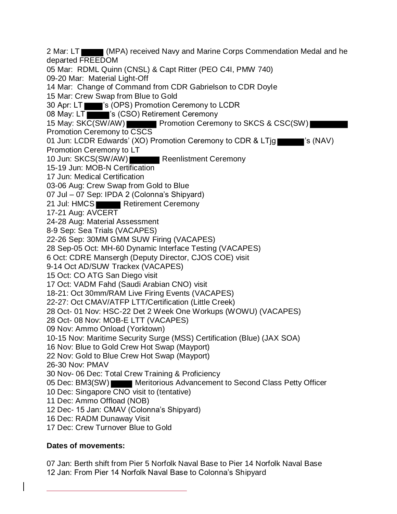2 Mar: LT (MPA) received Navy and Marine Corps Commendation Medal and he departed FREEDOM 05 Mar: RDML Quinn (CNSL) & Capt Ritter (PEO C4I, PMW 740) 09-20 Mar: Material Light-Off 14 Mar: Change of Command from CDR Gabrielson to CDR Doyle 15 Mar: Crew Swap from Blue to Gold 30 Apr: LT 's (OPS) Promotion Ceremony to LCDR 08 May: LT <sup>2</sup> S (CSO) Retirement Ceremony 15 May: SKC(SW/AW) Promotion Ceremony to SKCS & CSC(SW) Promotion Ceremony to CSCS 01 Jun: LCDR Edwards' (XO) Promotion Ceremony to CDR & LTjg 's (NAV) Promotion Ceremony to LT 10 Jun: SKCS(SW/AW) Reenlistment Ceremony 15-19 Jun: MOB-N Certification 17 Jun: Medical Certification 03-06 Aug: Crew Swap from Gold to Blue 07 Jul – 07 Sep: IPDA 2 (Colonna's Shipyard) 21 Jul: HMCS Retirement Ceremony 17-21 Aug: AVCERT 24-28 Aug: Material Assessment 8-9 Sep: Sea Trials (VACAPES) 22-26 Sep: 30MM GMM SUW Firing (VACAPES) 28 Sep-05 Oct: MH-60 Dynamic Interface Testing (VACAPES) 6 Oct: CDRE Mansergh (Deputy Director, CJOS COE) visit 9-14 Oct AD/SUW Trackex (VACAPES) 15 Oct: CO ATG San Diego visit 17 Oct: VADM Fahd (Saudi Arabian CNO) visit 18-21: Oct 30mm/RAM Live Firing Events (VACAPES) 22-27: Oct CMAV/ATFP LTT/Certification (Little Creek) 28 Oct- 01 Nov: HSC-22 Det 2 Week One Workups (WOWU) (VACAPES) 28 Oct- 08 Nov: MOB-E LTT (VACAPES) 09 Nov: Ammo Onload (Yorktown) 10-15 Nov: Maritime Security Surge (MSS) Certification (Blue) (JAX SOA) 16 Nov: Blue to Gold Crew Hot Swap (Mayport) 22 Nov: Gold to Blue Crew Hot Swap (Mayport) 26-30 Nov: PMAV 30 Nov- 06 Dec: Total Crew Training & Proficiency 05 Dec: BM3(SW) Meritorious Advancement to Second Class Petty Officer 10 Dec: Singapore CNO visit to (tentative) 11 Dec: Ammo Offload (NOB) 12 Dec- 15 Jan: CMAV (Colonna's Shipyard) 16 Dec: RADM Dunaway Visit 17 Dec: Crew Turnover Blue to Gold

#### **Dates of movements:**

07 Jan: Berth shift from Pier 5 Norfolk Naval Base to Pier 14 Norfolk Naval Base 12 Jan: From Pier 14 Norfolk Naval Base to Colonna's Shipyard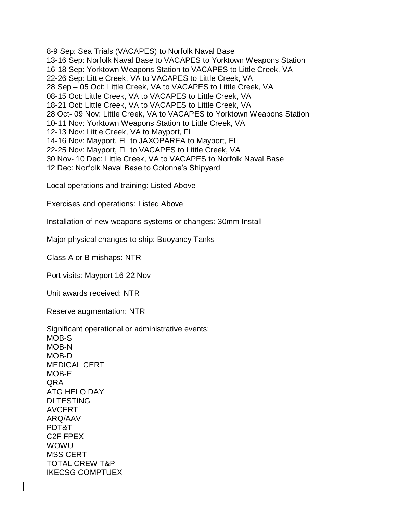8-9 Sep: Sea Trials (VACAPES) to Norfolk Naval Base 13-16 Sep: Norfolk Naval Base to VACAPES to Yorktown Weapons Station 16-18 Sep: Yorktown Weapons Station to VACAPES to Little Creek, VA 22-26 Sep: Little Creek, VA to VACAPES to Little Creek, VA 28 Sep – 05 Oct: Little Creek, VA to VACAPES to Little Creek, VA 08-15 Oct: Little Creek, VA to VACAPES to Little Creek, VA 18-21 Oct: Little Creek, VA to VACAPES to Little Creek, VA 28 Oct- 09 Nov: Little Creek, VA to VACAPES to Yorktown Weapons Station 10-11 Nov: Yorktown Weapons Station to Little Creek, VA 12-13 Nov: Little Creek, VA to Mayport, FL 14-16 Nov: Mayport, FL to JAXOPAREA to Mayport, FL 22-25 Nov: Mayport, FL to VACAPES to Little Creek, VA 30 Nov- 10 Dec: Little Creek, VA to VACAPES to Norfolk Naval Base 12 Dec: Norfolk Naval Base to Colonna's Shipyard

Local operations and training: Listed Above

Exercises and operations: Listed Above

Installation of new weapons systems or changes: 30mm Install

Major physical changes to ship: Buoyancy Tanks

Class A or B mishaps: NTR

Port visits: Mayport 16-22 Nov

Unit awards received: NTR

Reserve augmentation: NTR

Significant operational or administrative events: MOB-S MOB-N MOB-D MEDICAL CERT MOB-E QRA ATG HELO DAY DI TESTING AVCERT ARQ/AAV PDT&T C2F FPEX WOWU MSS CERT TOTAL CREW T&P IKECSG COMPTUEX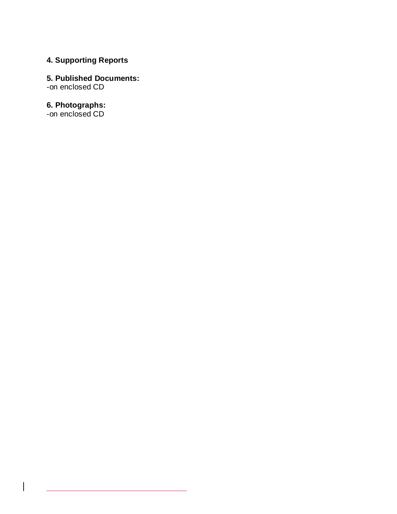## **4. Supporting Reports**

# **5. Published Documents:**

-on enclosed CD

#### **6. Photographs:**

-on enclosed CD